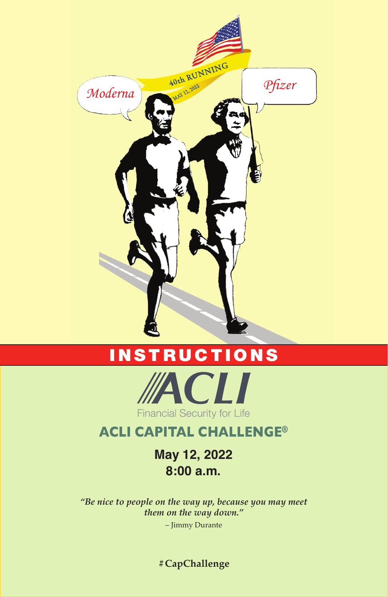

# INSTRUCTIONS



#### **ACLI CAPITAL CHALLENGE®**

**May 12, 2022 8:00 a.m.**

*"Be nice to people on the way up, because you may meet them on the way down."*

– Jimmy Durante

**#CapChallenge**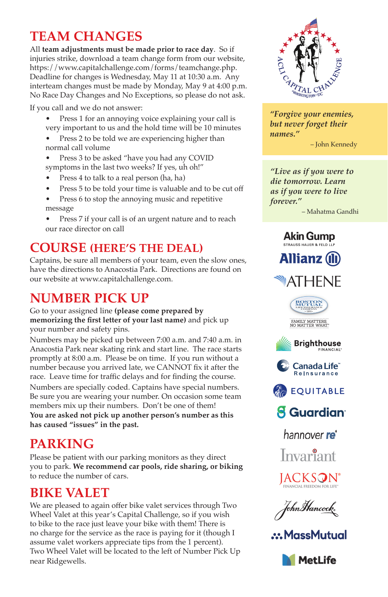# **TEAM CHANGES**

All **team adjustments must be made prior to race day**. So if injuries strike, download a team change form from our website, https://www.capitalchallenge.com/forms/teamchange.php. Deadline for changes is Wednesday, May 11 at 10:30 a.m. Any interteam changes must be made by Monday, May 9 at 4:00 p.m. No Race Day Changes and No Exceptions, so please do not ask.

If you call and we do not answer:

- Press 1 for an annoying voice explaining your call is very important to us and the hold time will be 10 minutes
- Press 2 to be told we are experiencing higher than normal call volume
- Press 3 to be asked "have you had any COVID symptoms in the last two weeks? If yes, uh oh!"
- Press 4 to talk to a real person (ha, ha)
- Press 5 to be told your time is valuable and to be cut off
- Press 6 to stop the annoying music and repetitive message
- Press 7 if your call is of an urgent nature and to reach our race director on call

#### **COURSE (HERE'S THE DEAL)**

Captains, be sure all members of your team, even the slow ones, have the directions to Anacostia Park. Directions are found on our website at www.capitalchallenge.com.

# **NUMBER PICK UP**

Go to your assigned line **(please come prepared by**  memorizing the first letter of your last name) and pick up your number and safety pins.

Numbers may be picked up between 7:00 a.m. and 7:40 a.m. in Anacostia Park near skating rink and start line. The race starts promptly at 8:00 a.m. Please be on time. If you run without a number because you arrived late, we CANNOT fix it after the race. Leave time for traffic delays and for finding the course. Numbers are specially coded. Captains have special numbers. Be sure you are wearing your number. On occasion some team members mix up their numbers. Don't be one of them!

**You are asked not pick up another person's number as this has caused "issues" in the past.**

# **PARKING**

Please be patient with our parking monitors as they direct you to park. **We recommend car pools, ride sharing, or biking** to reduce the number of cars.

#### **BIKE VALET**

We are pleased to again offer bike valet services through Two Wheel Valet at this year's Capital Challenge, so if you wish to bike to the race just leave your bike with them! There is no charge for the service as the race is paying for it (though I assume valet workers appreciate tips from the 1 percent). Two Wheel Valet will be located to the left of Number Pick Up near Ridgewells.



*"Forgive your enemies, but never forget their names."*

– John Kennedy

*"Live as if you were to die tomorrow. Learn as if you were to live forever."* 

– Mahatma Gandhi

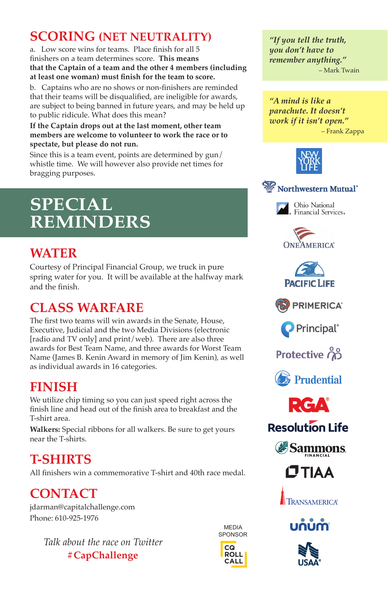## **SCORING (NET NEUTRALITY)**

a. Low score wins for teams. Place finish for all 5 finishers on a team determines score. **This means that the Captain of a team and the other 4 members (including**  at least one woman) must finish for the team to score.

b. Captains who are no shows or non-finishers are reminded that their teams will be disqualified, are ineligible for awards, are subject to being banned in future years, and may be held up to public ridicule. What does this mean?

#### **If the Captain drops out at the last moment, other team members are welcome to volunteer to work the race or to spectate, but please do not run.**

Since this is a team event, points are determined by gun/ whistle time. We will however also provide net times for bragging purposes.

# **SPECIAL REMINDERS**

### **WATER**

Courtesy of Principal Financial Group, we truck in pure spring water for you. It will be available at the halfway mark and the finish.

# **CLASS WARFARE**

The first two teams will win awards in the Senate, House, Executive, Judicial and the two Media Divisions (electronic [radio and TV only] and print/web). There are also three awards for Best Team Name, and three awards for Worst Team Name (James B. Kenin Award in memory of Jim Kenin), as well as individual awards in 16 categories.

## **FINISH**

We utilize chip timing so you can just speed right across the finish line and head out of the finish area to breakfast and the T-shirt area.

**Walkers:** Special ribbons for all walkers. Be sure to get yours near the T-shirts.

# **T-SHIRTS**

All finishers win a commemorative T-shirt and 40th race medal.

# **CONTACT**

jdarman@capitalchallenge.com Phone: 610-925-1976

> *Talk about the race on Twitter* **#CapChallenge**





*"If you tell the truth, you don't have to remember anything."* – Mark Twain

*"A mind is like a parachute. It doesn't work if it isn't open."* – Frank Zappa